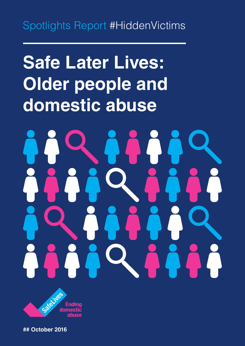# Spotlights Report #HiddenVictims

# **Safe Later Lives: Older people and domestic abuse**



**## October 2016**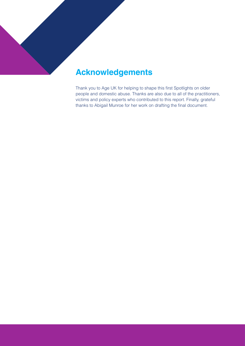### **Acknowledgements**

Thank you to Age UK for helping to shape this first Spotlights on older people and domestic abuse. Thanks are also due to all of the practitioners, victims and policy experts who contributed to this report. Finally, grateful thanks to Abigail Munroe for her work on drafting the final document.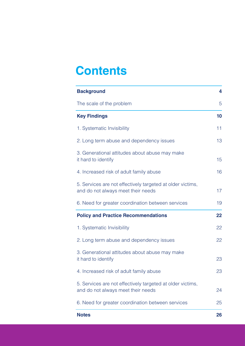# **Contents**

| <b>Background</b>                                                                                | 4  |
|--------------------------------------------------------------------------------------------------|----|
| The scale of the problem                                                                         | 5  |
| <b>Key Findings</b>                                                                              | 10 |
| 1. Systematic Invisibility                                                                       | 11 |
| 2. Long term abuse and dependency issues                                                         | 13 |
| 3. Generational attitudes about abuse may make<br>it hard to identify                            | 15 |
| 4. Increased risk of adult family abuse                                                          | 16 |
| 5. Services are not effectively targeted at older victims,<br>and do not always meet their needs | 17 |
| 6. Need for greater coordination between services                                                | 19 |
| <b>Policy and Practice Recommendations</b>                                                       | 22 |
| 1. Systematic Invisibility                                                                       | 22 |
| 2. Long term abuse and dependency issues                                                         | 22 |
| 3. Generational attitudes about abuse may make<br>it hard to identify                            | 23 |
| 4. Increased risk of adult family abuse                                                          | 23 |
| 5. Services are not effectively targeted at older victims,<br>and do not always meet their needs | 24 |
| 6. Need for greater coordination between services                                                | 25 |
| <b>Notes</b>                                                                                     | 26 |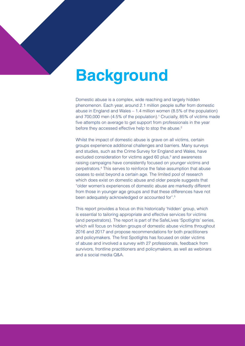# <span id="page-3-0"></span>**Background**

Domestic abuse is a complex, wide reaching and largely hidden phenomenon. Each year, around 2.1 million people suffer from domestic abuse in England and Wales – 1.4 million women (8.5% of the population) and 700,000 men (4.5% of the population).<sup>[1](#page-25-1)</sup> Crucially, 85% of victims made five attempts on average to get support from professionals in the year before they accessed effective help to stop the abuse.<sup>2</sup>

Whilst the impact of domestic abuse is grave on all victims, certain groups experience additional challenges and barriers. Many surveys and studies, such as the Crime Survey for England and Wales, have excluded consideration for victims aged 60 plus,<sup>3</sup> and awareness raising campaigns have consistently focused on younger victims and perpetrators[.4](#page-25-2) This serves to reinforce the false assumption that abuse ceases to exist beyond a certain age. The limited pool of research which does exist on domestic abuse and older people suggests that "older women's experiences of domestic abuse are markedly different from those in younger age groups and that these differences have not been adequately acknowledged or accounted for".5

This report provides a focus on this historically 'hidden' group, which is essential to tailoring appropriate and effective services for victims (and perpetrators). The report is part of the SafeLives 'Spotlights' series, which will focus on hidden groups of domestic abuse victims throughout 2016 and 2017 and propose recommendations for both practitioners and policymakers. The first Spotlights has focused on older victims of abuse and involved a survey with 27 professionals, feedback from survivors, frontline practitioners and policymakers, as well as webinars and a social media Q&A.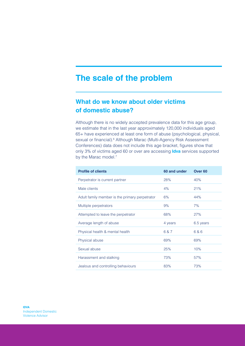### <span id="page-4-0"></span>**The scale of the problem**

#### **What do we know about older victims of domestic abuse?**

Although there is no widely accepted prevalence data for this age group, we estimate that in the last year approximately 120,000 individuals aged 65+ have experienced at least one form of abuse (psychological, physical, sexual or financial).<sup>6</sup> Although Marac (Multi-Agency Risk Assessment Conferences) data does not include this age bracket, figures show that only 3% of victims aged 60 or over are accessing **Idva** services supported by the Marac model.<sup>7</sup>

| <b>Profile of clients</b>                      | 60 and under | Over <sub>60</sub> |
|------------------------------------------------|--------------|--------------------|
| Perpetrator is current partner                 | 28%          | 40%                |
| Male clients                                   | 4%           | 21%                |
| Adult family member is the primary perpetrator | 6%           | 44%                |
| Multiple perpetrators                          | 9%           | 7%                 |
| Attempted to leave the perpetrator             | 68%          | 27%                |
| Average length of abuse                        | 4 years      | 6.5 years          |
| Physical health & mental health                | 6 & 7        | 6&6                |
| Physical abuse                                 | 69%          | 69%                |
| Sexual abuse                                   | 25%          | 10%                |
| Harassment and stalking                        | 73%          | 57%                |
| Jealous and controlling behaviours             | 83%          | 73%                |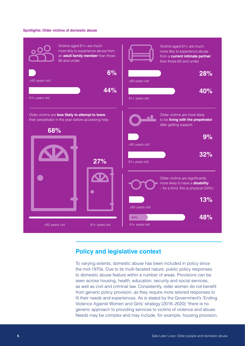#### **Spotlights: Older victims of domestic abuse**



#### **Policy and legislative context**

To varying extents, domestic abuse has been included in policy since the mid-1970s. Due to its multi-faceted nature, public policy responses to domestic abuse feature within a number of areas. Provisions can be seen across housing, health, education, security and social services, as well as civil and criminal law. Consistently, older women do not benefit from generic policy provision, as they require more tailored responses to fit their needs and experiences. As is stated by the Government's 'Ending Violence Against Women and Girls' strategy (2016–2020) "there is no generic approach to providing services to victims of violence and abuse. Needs may be complex and may include, for example, housing provision,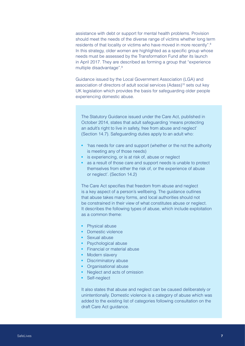assistance with debt or support for mental health problems. Provision should meet the needs of the diverse range of victims whether long term residents of that locality or victims who have moved in more recently".8 In this strategy, older women are highlighted as a specific group whose needs must be assessed by the Transformation Fund after its launch in April 2017. They are described as forming a group that "experience multiple disadvantage".<sup>9</sup>

Guidance issued by the Local Government Association (LGA) and association of directors of adult social services (Adass)<sup>10</sup> sets out key UK legislation which provides the basis for safeguarding older people experiencing domestic abuse.

The Statutory Guidance issued under the Care Act, published in October 2014, states that adult safeguarding 'means protecting an adult's right to live in safety, free from abuse and neglect' (Section 14.7). Safeguarding duties apply to an adult who:

- **•** 'has needs for care and support (whether or the not the authority is meeting any of those needs)
- **•** is experiencing, or is at risk of, abuse or neglect
- **•** as a result of those care and support needs is unable to protect themselves from either the risk of, or the experience of abuse or neglect'. (Section 14.2)

The Care Act specifies that freedom from abuse and neglect is a key aspect of a person's wellbeing. The guidance outlines that abuse takes many forms, and local authorities should not be constrained in their view of what constitutes abuse or neglect. It describes the following types of abuse, which include exploitation as a common theme:

- **•** Physical abuse
- **•** Domestic violence
- **•** Sexual abuse
- **•** Psychological abuse
- **•** Financial or material abuse
- **•** Modern slavery
- **•** Discriminatory abuse
- **•** Organisational abuse
- **•** Neglect and acts of omission
- **•** Self-neglect

It also states that abuse and neglect can be caused deliberately or unintentionally. Domestic violence is a category of abuse which was added to the existing list of categories following consultation on the draft Care Act guidance.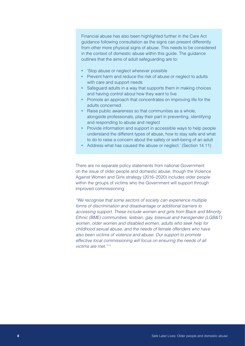Financial abuse has also been highlighted further in the Care Act guidance following consultation as the signs can present differently from other more physical signs of abuse. This needs to be considered in the context of domestic abuse within this guide. The guidance outlines that the aims of adult safeguarding are to:

- **•** 'Stop abuse or neglect wherever possible
- Prevent harm and reduce the risk of abuse or neglect to adults with care and support needs
- **•** Safeguard adults in a way that supports them in making choices and having control about how they want to live
- **•** Promote an approach that concentrates on improving life for the adults concerned
- **•** Raise public awareness so that communities as a whole, alongside professionals, play their part in preventing, identifying and responding to abuse and neglect
- Provide information and support in accessible ways to help people understand the different types of abuse, how to stay safe and what to do to raise a concern about the safety or well-being of an adult
- **•** Address what has caused the abuse or neglect.' (Section 14.11)

There are no separate policy statements from national Government on the issue of older people and domestic abuse, though the Violence Against Women and Girls strategy (2016–2020) includes older people within the groups of victims who the Government will support through improved commissioning:

*"We recognise that some sectors of society can experience multiple forms of discrimination and disadvantage or additional barriers to accessing support. These include women and girls from Black and Minority Ethnic (BME) communities, lesbian, gay, bisexual and transgender (LGB&T) women, older women and disabled women, adults who seek help for childhood sexual abuse, and the needs of female offenders who have also been victims of violence and abuse. Our support to promote effective local commissioning will focus on ensuring the needs of all victims are met."* <sup>11</sup>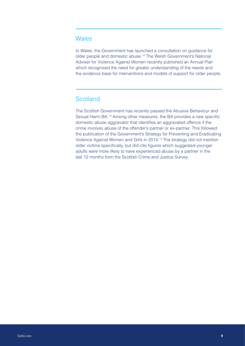#### **Wales**

In Wales, the Government has launched a consultation on guidance for older people and domestic abuse.<sup>12</sup> The Welsh Government's National Adviser for Violence Against Women recently published an Annual Plan which recognised the need for greater understanding of the needs and the evidence base for interventions and models of support for older people.

#### **Scotland**

The Scottish Government has recently passed the Abusive Behaviour and Sexual Harm Bill.<sup>[1](#page-26-1)3</sup> Among other measures, the Bill provides a new specific domestic abuse aggravator that identifies an aggravated offence if the crime involves abuse of the offender's partner or ex-partner. This followed the publication of the Government's Strategy for Preventing and Eradicating Violence Against Women and Girls in 2014.[1](#page-26-2)4 The strategy did not mention older victims specifically, but did cite figures which suggested younger adults were more likely to have experienced abuse by a partner in the last 12 months from the Scottish Crime and Justice Survey.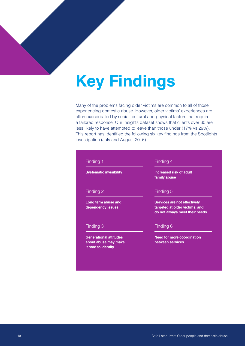# <span id="page-9-0"></span>**Key Findings**

Many of the problems facing older victims are common to all of those experiencing domestic abuse. However, older victims' experiences are often exacerbated by social, cultural and physical factors that require a tailored response. Our Insights dataset shows that clients over 60 are less likely to have attempted to leave than those under (17% vs 29%). This report has identified the following six key findings from the Spotlights investigation (July and August 2016).

## Finding 1 **Systematic invisibility** Finding 2 **Long term abuse and dependency issues** Finding 3

**Generational attitudes about abuse may make it hard to identify**

#### Finding 4

**Increased risk of adult family abuse**

#### Finding 5

**Services are not effectively targeted at older victims, and do not always meet their needs** 

#### Finding 6

**Need for more coordination between services**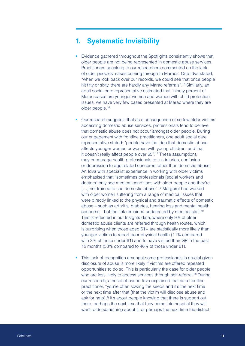#### <span id="page-10-0"></span>**1. Systematic Invisibility**

- **•** Evidence gathered throughout the Spotlights consistently shows that older people are not being represented in domestic abuse services. Practitioners speaking to our researchers commented on the lack of older peoples' cases coming through to Maracs. One Idva stated, "when we look back over our records, we could see that once people hit fifty or sixty, there are hardly any Marac referrals".<sup>15</sup> Similarly, an adult social care representative estimated that "ninety percent of Marac cases are younger women and women with child protection issues, we have very few cases presented at Marac where they are older people.16
- **•** Our research suggests that as a consequence of so few older victims accessing domestic abuse services, professionals tend to believe that domestic abuse does not occur amongst older people. During our engagement with frontline practitioners, one adult social care representative stated: "people have the idea that domestic abuse affects younger women or women with young children, and that it doesn't really affect people over 65".17 These assumptions may encourage health professionals to link injuries, confusion or depression to age related concerns rather than domestic abuse. An Idva with specialist experience in working with older victims emphasised that "sometimes professionals [social workers and doctors] only see medical conditions with older people and they're [...] not trained to see domestic abuse".<sup>18</sup> Margaret had worked with older women suffering from a range of medical issues that were directly linked to the physical and traumatic effects of domestic abuse – such as arthritis, diabetes, hearing loss and mental health concerns – but the link remained undetected by medical staff.19 This is reflected in our Insights data, where only 9% of older domestic abuse clients are referred through health routes, which is surprising when those aged 61+ are statistically more likely than younger victims to report poor physical health (11% compared with 3% of those under 61) and to have visited their GP in the past 12 months (53% compared to 46% of those under 61).
- **•** This lack of recognition amongst some professionals is crucial given disclosure of abuse is more likely if victims are offered repeated opportunities to do so. This is particularly the case for older people who are less likely to access services through self-referral.<sup>20</sup> During our research, a hospital-based Idva explained that as a frontline practitioner, "you're often sowing the seeds and it's the next time or the next time after that [that the victim will disclose abuse and ask for help] // it's about people knowing that there is support out there, perhaps the next time that they come into hospital they will want to do something about it, or perhaps the next time the district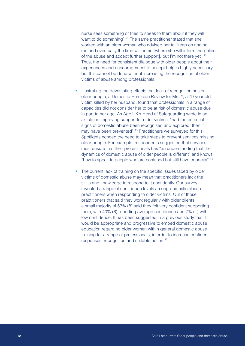nurse sees something or tries to speak to them about it they will want to do something".<sup>[2](#page-26-5)1</sup> The same practitioner stated that she worked with an older woman who advised her to "keep on ringing me and eventually the time will come [where she will inform the police of the abuse and accept further support], but I'm not there yet"[.2](#page-26-6)2 Thus, the need for consistent dialogue with older people about their experiences and encouragement to accept help is highly necessary, but this cannot be done without increasing the recognition of older victims of abuse among professionals.

- **•** Illustrating the devastating effects that lack of recognition has on older people, a Domestic Homicide Review for Mrs Y, a 79-year-old victim killed by her husband, found that professionals in a range of capacities did not consider her to be at risk of domestic abuse due in part to her age. As Age UK's Head of Safeguarding wrote in an article on improving support for older victims, "had the potential signs of domestic abuse been recognised and explored, then it may have been prevented".<sup>[2](#page-26-7)3</sup> Practitioners we surveyed for this Spotlights echoed the need to take steps to prevent services missing older people. For example, respondents suggested that services must ensure that their professionals has "an understanding that the dynamics of domestic abuse of older people is different" and knows "how to speak to people who are confused but still have capacity"[.24](#page-26-8)
- **•** The current lack of training on the specific issues faced by older victims of domestic abuse may mean that practitioners lack the skills and knowledge to respond to it confidently. Our survey revealed a range of confidence levels among domestic abuse practitioners when responding to older victims. Out of those practitioners that said they work regularly with older clients, a small majority of 53% (8) said they felt very confident supporting them, with 40% (6) reporting average confidence and 7% (1) with low confidence. It has been suggested in a previous study that it would be appropriate and progressive to embed domestic abuse education regarding older women within general domestic abuse training for a range of professionals, in order to increase confident responses, recognition and suitable action.[2](#page-26-9)5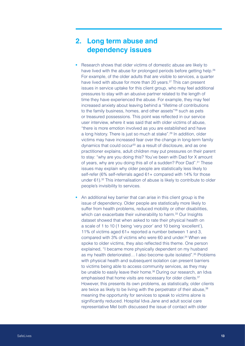### <span id="page-12-0"></span>**2. Long term abuse and dependency issues**

- **•** Research shows that older victims of domestic abuse are likely to have lived with the abuse for prolonged periods before getting help.<sup>[2](#page-26-10)6</sup> For example, of the older adults that are visible to services, a quarter have lived with abuse for more than [2](#page-26-11)0 years.<sup>27</sup> This can present issues in service uptake for this client group, who may feel additional pressures to stay with an abusive partner related to the length of time they have experienced the abuse. For example, they may feel increased anxiety about leaving behind a "lifetime of contributions to the family business, homes, and other assets"<sup>28</sup> such as pets or treasured possessions. This point was reflected in our service user interview, where it was said that with older victims of abuse, "there is more emotion involved as you are established and have a long history. There is just so much at stake".<sup>29</sup> In addition, older victims may have increased fear over the change in long-term family dynamics that could occur<sup>30</sup> as a result of disclosure, and as one practitioner explains, adult children may put pressures on their parent to stay: "why are you doing this? You've been with Dad for X amount of years, why are you doing this all of a sudden? Poor Dad".<sup>31</sup> These issues may explain why older people are statistically less likely to self-refer (6% self-referrals aged 61+ compared with 14% for those under 61).<sup>32</sup> This internalisation of abuse is likely to contribute to older people's invisibility to services.
- **•** An additional key barrier that can arise in this client group is the issue of dependency. Older people are statistically more likely to suffer from health problems, reduced mobility or other disabilities, which can exacerbate their vulnerability to harm.<sup>[33](#page-27-3)</sup> Our Insights dataset showed that when asked to rate their physical health on a scale of 1 to 10 (1 being 'very poor' and 10 being 'excellent'), 11% of victims aged 61+ reported a number between 1 and 3, compared with 3% of victims who were 60 and under.<sup>[34](#page-27-4)</sup> When we spoke to older victims, they also reflected this theme. One person explained, "I became more physically dependent on my husband as my health deteriorated... I also become quite isolated".<sup>35</sup> Problems with physical health and subsequent isolation can present barriers to victims being able to access community services, as they may be unable to easily leave their home.<sup>[3](#page-27-6)6</sup> During our research, an Idva emphasised that home visits are necessary for older clients.<sup>37</sup> However, this presents its own problems, as statistically, older clients are twice as likely to be living with the perpetrator of their abuse.<sup>38</sup> meaning the opportunity for services to speak to victims alone is significantly reduced. Hospital Idva Jane and adult social care representative Mel both discussed the issue of contact with older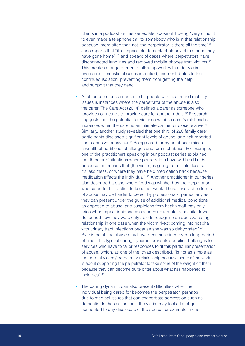clients in a podcast for this series. Mel spoke of it being "very difficult to even make a telephone call to somebody who is in that relationship because, more often than not, the perpetrator is there all the time"[.3](#page-27-9)9 Jane reports that "it is impossible [to contact older victims] once they have gone home",<sup>40</sup> and speaks of cases where perpetrators have disconnected landlines and removed mobile phones from victims.41 This creates a huge barrier to follow up work with older victims, even once domestic abuse is identified, and contributes to their continued isolation, preventing them from getting the help and support that they need.

- **•** Another common barrier for older people with health and mobility issues is instances where the perpetrator of the abuse is also the carer. The Care Act (2014) defines a carer as someone who 'provides or intends to provide care for another adult'[.42](#page-27-10) Research suggests that the potential for violence within a carer's relationship increases when the carer is an intimate partner or close relative.<sup>43</sup> Similarly, another study revealed that one third of 220 family carer participants disclosed significant levels of abuse, and half reported some abusive behaviour.<sup>[4](#page-27-12)4</sup> Being cared for by an abuser raises a wealth of additional challenges and forms of abuse. For example, one of the practitioners speaking in our podcast series explained that there are "situations where perpetrators have withheld fluids because that means that [the victim] is going to the toilet less so it's less mess, or where they have held medication back because medication affects the individual"[.45](#page-27-13) Another practitioner in our series also described a case where food was withheld by the perpetrator who cared for the victim, to keep her weak. These less visible forms of abuse may be harder to detect by professionals, particularly as they can present under the guise of additional medical conditions as opposed to abuse, and suspicions from health staff may only arise when repeat incidences occur. For example, a hospital Idva described how they were only able to recognise an abusive caring relationship in one case when the victim "kept coming into hospital with urinary tract infections because she was so dehydrated".<sup>[4](#page-27-14)6</sup> By this point, the abuse may have been sustained over a long period of time. This type of caring dynamic presents specific challenges to services,who have to tailor responses to fit this particular presentation of abuse, which, as one of the Idvas described, "is not as simple as the normal victim / perpetrator relationship because some of the work is about supporting the perpetrator to take some of the weight off them because they can become quite bitter about what has happened to their lives".[47](#page-27-15)
- **•** The caring dynamic can also present difficulties when the individual being cared for becomes the perpetrator, perhaps due to medical issues that can exacerbate aggression such as dementia. In these situations, the victim may feel a lot of guilt connected to any disclosure of the abuse, for example in one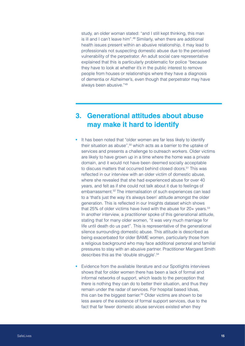<span id="page-14-0"></span>study, an older woman stated: "and I still kept thinking, this man is ill and I can't leave him".<sup>[48](#page-28-0)</sup> Similarly, when there are additional health issues present within an abusive relationship, it may lead to professionals not suspecting domestic abuse due to the perceived vulnerability of the perpetrator. An adult social care representative explained that this is particularly problematic for police "because they have to look at whether it's in the public interest to remove people from houses or relationships where they have a diagnosis of dementia or Alzheimer's, even though that perpetrator may have always been abusive.["49](#page-28-1)

### **3. Generational attitudes about abuse may make it hard to identify**

- **•** It has been noted that "older women are far less likely to identify their situation as abuse",50 which acts as a barrier to the uptake of services and presents a challenge to outreach workers. Older victims are likely to have grown up in a time where the home was a private domain, and it would not have been deemed socially acceptable to discuss matters that occurred behind closed doors.<sup>51</sup> This was reflected in our interview with an older victim of domestic abuse, where she revealed that she had experienced abuse for over 40 years, and felt as if she could not talk about it due to feelings of embarrassment.<sup>52</sup> The internalisation of such experiences can lead to a 'that's just the way it's always been' attitude amongst the older generation. This is reflected in our Insights dataset which shows that 25% of older victims have lived with the abuse for  $20+$  years.<sup>[53](#page-28-4)</sup> In another interview, a practitioner spoke of this generational attitude, stating that for many older women, "it was very much marriage for life until death do us part". This is representative of the generational silence surrounding domestic abuse. This attitude is described as being exacerbated for older BAME women, particularly those from a religious background who may face additional personal and familial pressures to stay with an abusive partner. Practitioner Margaret Smith describes this as the 'double struggle'.54
- **•** Evidence from the available literature and our Spotlights interviews shows that for older women there has been a lack of formal and informal networks of support, which leads to the perception that there is nothing they can do to better their situation, and thus they remain under the radar of services. For hospital based Idvas, this can be the biggest barrier.<sup>[55](#page-28-5)</sup> Older victims are shown to be less aware of the existence of formal support services, due to the fact that far fewer domestic abuse services existed when they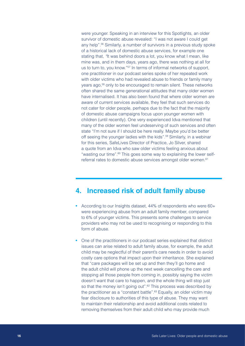<span id="page-15-0"></span>were younger. Speaking in an interview for this Spotlights, an older survivor of domestic abuse revealed: "I was not aware I could get any help"[.5](#page-28-6)6 Similarly, a number of survivors in a previous study spoke of a historical lack of domestic abuse services, for example one stating that, *"*It was behind doors a lot, you know what I mean, like mine was, and in them days, years ago, there was nothing at all for us to turn to, you know."<sup>57</sup> In terms of informal networks of support, one practitioner in our podcast series spoke of her repeated work with older victims who had revealed abuse to friends or family many years ago,<sup>58</sup> only to be encouraged to remain silent. These networks often shared the same generational attitudes that many older women have internalised. It has also been found that where older women are aware of current services available, they feel that such services do not cater for older people, perhaps due to the fact that the majority of domestic abuse campaigns focus upon younger women with children (until recently). One very experienced Idva mentioned that many of the older women feel undeserving of such services and often state "I'm not sure if I should be here really. Maybe you'd be better off seeing the younger ladies with the kids".<sup>[5](#page-28-9)9</sup> Similarly, in a webinar for this series, SafeLives Director of Practice, Jo Silver, shared a quote from an Idva who saw older victims feeling anxious about "wasting our time".<sup>60</sup> This goes some way to explaining the lower selfreferral rates to domestic abuse services amongst older women.<sup>61</sup>

#### **4. Increased risk of adult family abuse**

- **•** According to our Insights dataset, 44% of respondents who were 60+ were experiencing abuse from an adult family member, compared to 6% of younger victims. This presents some challenges to service providers who may not be used to recognising or responding to this form of abuse.
- **•** One of the practitioners in our podcast series explained that distinct issues can arise related to adult family abuse, for example, the adult child may be neglectful of their parent's care needs in order to avoid costly care options that impact upon their inheritance. She explained that "care packages will be set up and then they'll go home and the adult child will phone up the next week cancelling the care and stopping all those people from coming in, possibly saying the victim doesn't want that care to happen, and the whole thing will stop just so that the money isn't going out".<sup>[6](#page-28-11)2</sup> This process was described by the practitioner as a "constant battle".<sup>[6](#page-28-12)3</sup> Equally, an older victim may fear disclosure to authorities of this type of abuse. They may want to maintain their relationship and avoid additional costs related to removing themselves from their adult child who may provide much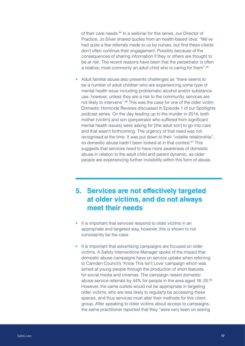<span id="page-16-0"></span>of their care needs.<sup>[6](#page-29-0)4</sup> In a webinar for this series, our Director of Practice, Jo Silver shared quotes from an health-based Idva: "We've had quite a few referrals made to us by nurses, but find these clients don't often continue their engagement. Possibly because of the consequences of sharing information if they or others are thought to be at risk. The recent reasons have been that the perpetrator is often a relative, most commonly an adult child who is caring for them"[.65](#page-29-1)

**•** Adult familial abuse also presents challenges as "there seems to be a number of adult children who are experiencing some type of mental health issue including problematic alcohol and/or substance use, however, unless they are a risk to the community, services are not likely to intervene".<sup>66</sup> This was the case for one of the older victim Domestic Homicide Reviews discussed in Episode 1 of our Spotlights podcast series. On the day leading up to the murder in 2014, both mother (victim) and son (perpetrator who suffered from significant mental health issues) were asking for [the adult son] to go into care and that wasn't forthcoming. The urgency of that need was not recognised at the time. It was put down to their "volatile relationship", so domestic abuse hadn't been looked at in that context.<sup>[6](#page-29-3)7</sup> This suggests that services need to have more awareness of domestic abuse in relation to the adult child and parent dynamic, as older people are experiencing further invisibility within this form of abuse.

### **5. Services are not effectively targeted at older victims, and do not always meet their needs**

- **•** It is important that services respond to older victims in an appropriate and targeted way, however, this is shown to not consistently be the case.
- **•** It is important that advertising campaigns are focused on older victims. A Safety Interventions Manager spoke of the impact that domestic abuse campaigns have on service uptake when referring to Camden Council's 'Know This Isn't Love' campaign which was aimed at young people through the production of short features for social media and cinemas. The campaign raised domestic abuse service referrals by 44% for people in the area aged 16–25[.68](#page-29-4) However, the same outlets would not be appropriate in targeting older victims, who are less likely to regularly be accessing these spaces, and thus services must alter their methods for this client group. After speaking to older victims about access to campaigns, the same practitioner reported that they "were very keen on seeing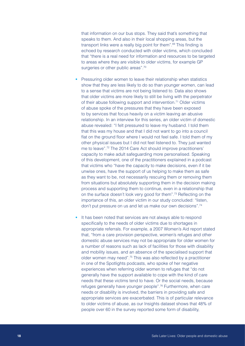that information on our bus stops. They said that's something that speaks to them. And also in their local shopping areas, but the transport links were a really big point for them".<sup>[6](#page-29-5)9</sup> This finding is echoed by research conducted with older victims, which concluded that "there is a real need for information and resources to be targeted to areas where they are visible to older victims, for example GP surgeries or other public areas".<sup>70</sup>

- **•** Pressuring older women to leave their relationship when statistics show that they are less likely to do so than younger women, can lead to a sense that victims are not being listened to. Data also shows that older victims are more likely to still be living with the perpetrator of their abuse following support and intervention.<sup>[7](#page-29-6)1</sup> Older victims of abuse spoke of the pressures that they have been exposed to by services that focus heavily on a victim leaving an abusive relationship. In an interview for this series, an older victim of domestic abuse revealed: "I felt pressured to leave my husband. I told them that this was my house and that I did not want to go into a council flat on the ground floor where I would not feel safe. I told them of my other physical issues but I did not feel listened to. They just wanted me to leave"[.72](#page-29-7) The 2014 Care Act should improve practitioners' capacity to make adult safeguarding more personalised. Speaking of this development, one of the practitioners explained in a podcast that victims who "have the capacity to make decisions, even if it be unwise ones, have the support of us helping to make them as safe as they want to be, not necessarily rescuing them or removing them from situations but absolutely supporting them in the decision making process and supporting them to continue, even in a relationship that on the surface doesn't look very good for them"[.73](#page-29-8) Reflecting on the importance of this, an older victim in our study concluded: "listen, don't put pressure on us and let us make our own decisions"[.74](#page-29-9)
- **•** It has been noted that services are not always able to respond specifically to the needs of older victims due to shortages in appropriate referrals. For example, a 2007 Women's Aid report stated that, "from a care provision perspective, women's refuges and other domestic abuse services may not be appropriate for older women for a number of reasons such as lack of facilities for those with disability and mobility issues, and an absence of the specialised support that older women may need"[.75](#page-29-10) This was also reflected by a practitioner in one of the Spotlights podcasts, who spoke of her negative experiences when referring older women to refuges that "do not generally have the support available to cope with the kind of care needs that these victims tend to have. Or the social needs, because refuges generally have younger people".<sup>76</sup> Furthermore, when care needs or disability is involved, the barriers in providing safe and appropriate services are exacerbated. This is of particular relevance to older victims of abuse, as our Insights dataset shows that 48% of people over 60 in the survey reported some form of disability,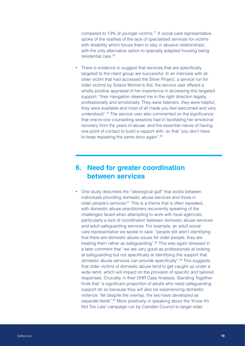<span id="page-18-0"></span>compared to 13% of younger victims[.77](#page-29-12) A social care representative spoke of the realities of the lack of specialised services for victims with disability which forces them to stay in abusive relationships, with the only alternative option to specially adapted housing being residential care.[7](#page-29-13)8

There is evidence to suggest that services that are specifically targeted to the client group are successful. In an interview with an older victim that had accessed the Silver Project, a service run for older victims by Solace Women's Aid, the service user offered a wholly positive appraisal of her experience in accessing this targeted support: "their navigation steered me in the right direction legally, professionally and emotionally. They were listeners, they were helpful, they were available and most of all made you feel welcomed and very understood".[79](#page-29-14) The service user also commented on the significance that one-to-one counselling sessions had in facilitating her emotional recovery from the years of abuse, and the essential nature of having one point of contact to build a rapport with, so that "you don't have to keep repeating the same story again".<sup>80</sup>

#### **6. Need for greater coordination between services**

**•** One study describes the "ideological gulf" that exists between individuals providing domestic abuse services and those in older people's services.<sup>81</sup> This is a theme that is often repeated, with domestic abuse practitioners recurrently speaking of the challenges faced when attempting to work with local agencies, particularly a lack of coordination between domestic abuse services and adult safeguarding services. For example, an adult social care representative we spoke to said: "people still aren't identifying that there are domestic abuse issues for older people, they are treating them rather as safeguarding".<sup>82</sup> This was again stressed in a later comment that "we are very good as professionals at looking at safeguarding but not specifically at identifying the support that domestic abuse services can provide specifically".<sup>83</sup> This suggests that older victims of domestic abuse tend to get caught up under a wide remit, which will impact on the provision of specific and tailored responses. Crucially, in their DHR Case Analysis, Standing Together finds that "a significant proportion of adults who need safeguarding support do so because they will also be experiencing domestic violence. Yet despite the overlap, the two have developed as separate fields".<sup>84</sup> More positively, in speaking about the 'Know It's Not Too Late' campaign run by Camden Council to target older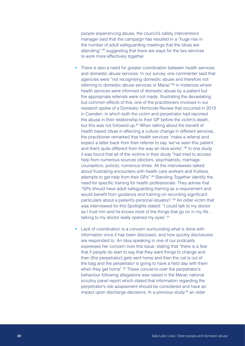people experiencing abuse, the council's safety interventions manager said that the campaign has resulted in a "huge rise in the number of adult safeguarding meetings that the Idvas are attending",<sup>85</sup> suggesting that there are ways for the two services to work more effectively together.

- There is also a need for greater coordination between health services and domestic abuse services. In our survey, one commenter said that agencies were "not recognising domestic abuse and therefore not referring to domestic abuse services or Marac"<sup>86</sup> in instances where health services were informed of domestic abuse by a patient but the appropriate referrals were not made. Illustrating the devastating but common effects of this, one of the practitioners involved in our research spoke of a Domestic Homicide Review that occurred in 2013 in Camden, in which both the victim and perpetrator had reported the abuse in their relationship to their GP before the victim's death, but this was not followed up.<sup>[8](#page-30-4)7</sup> When talking about the benefit of health based Idvas in affecting a culture change in different services, the practitioner remarked that health services "make a referral and expect a letter back from their referrer to say 'we've seen this patient', and that's quite different from the way an Idva works".<sup>[8](#page-30-5)8</sup> In one study it was found that all of the victims in their study "had tried to access help from numerous sources (doctors, psychiatrists, marriage counsellors, police), numerous times. All the interviewees talked about frustrating encounters with health care workers and fruitless attempts to get help from their GPs".<sup>[8](#page-30-6)9</sup> Standing Together identify the need for specific training for health professionals. They advise that "GPs should have adult safeguarding training as a requirement and would benefit from guidance and training on recording significant particulars about a patient's personal situation".<sup>90</sup> An older victim that was interviewed for this Spotlights stated: "I could talk to my doctor as I trust him and he knows most of the things that go on in my life… talking to my doctor really opened my eyes".<sup>[9](#page-30-7)1</sup>
- **•** Lack of coordination is a concern surrounding what is done with information once it has been disclosed, and how quickly disclosures are responded to. An Idva speaking in one of our podcasts expresses her concern over this issue, stating that "there is a fear that if people do start to say that they want things to change and then [the perpetrator] gets sent home and then the cat is out of the bag and the perpetrator is going to have a field day with them when they get home".<sup>92</sup> These concerns over the perpetrator's behaviour following allegations was raised in the Marac national scrutiny panel report which stated that information regarding the perpetrator's risk assessment should be considered and have an impact upon discharge decisions. In a previous study,<sup>[9](#page-30-9)3</sup> an older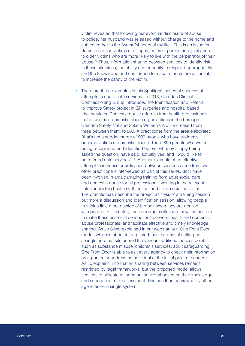victim revealed that following her eventual disclosure of abuse to police, her husband was released without charge to the home and subjected her to the "worst 24 hours of my life". This is an issue for domestic abuse victims of all ages, but is of particular significance to older victims who are more likely to live with the perpetrator of their abuse.[9](#page-30-10)4 Thus, information sharing between services to identify risk in these situations, the ability and capacity to respond appropriately, and the knowledge and confidence to make referrals are essential, to increase the safety of the victim.

**•** There are three examples in this Spotlights series of successful attempts to coordinate services. In 2013, Camden Clinical Commissioning Group introduced the Identification and Referral to Improve Safety project in GP surgeries and hospital based Idva services. Domestic abuse referrals from health professionals to the two main domestic abuse organisations in the borough – Camden Safety Net and Solace Women's Aid – increased from three between them, to 800. A practitioner from the area elaborated: "that's not a sudden surge of 800 people who have suddenly become victims of domestic abuse. That's 800 people who weren't being recognised and identified before; who, by simply being asked the question, have said 'actually yes, and I would like to be referred onto services"<sup>"</sup>.<sup>[9](#page-30-11)5</sup> Another example of an effective attempt to increase coordination between services came from two other practitioners interviewed as part of this series. Both have been involved in amalgamating training from adult social care and domestic abuse for all professionals working in the relevant fields, including health staff, police, and adult social care staff. The practitioners describe the project as "less of a training session but more a discussion and identification session, allowing people to think a little more outside of the box when they are dealing with people".<sup>96</sup> Ultimately, these examples illustrate how it is possible to make these essential connections between health and domestic abuse professionals, and facilitate effective and timely knowledge sharing. As Jo Silver explained in our webinar, our 'One Front Door' model, which is about to be piloted, has the goal of setting up a single hub that sits behind the various additional access points, such as substance misuse, children's services, adult safeguarding. One Front Door is able to ask every agency to check their information on a particular address or individual at the initial point of concern. As Jo explains, information sharing between services remains restricted by legal frameworks, but the proposed model allows services to allocate a flag to an individual based on their knowledge and subsequent risk assessment. This can then be viewed by other agencies on a single system.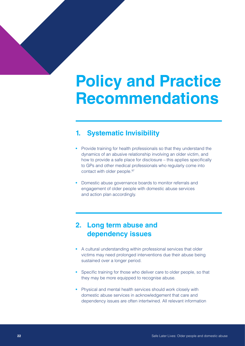# <span id="page-21-0"></span>**Policy and Practice Recommendations**

### **1. Systematic Invisibility**

- **•** Provide training for health professionals so that they understand the dynamics of an abusive relationship involving an older victim, and how to provide a safe place for disclosure – this applies specifically to GPs and other medical professionals who regularly come into contact with older people.<sup>[9](#page-30-12)7</sup>
- **•** Domestic abuse governance boards to monitor referrals and engagement of older people with domestic abuse services and action plan accordingly.

### **2. Long term abuse and dependency issues**

- **•** A cultural understanding within professional services that older victims may need prolonged interventions due their abuse being sustained over a longer period.
- **•** Specific training for those who deliver care to older people, so that they may be more equipped to recognise abuse.
- **•** Physical and mental health services should work closely with domestic abuse services in acknowledgement that care and dependency issues are often intertwined. All relevant information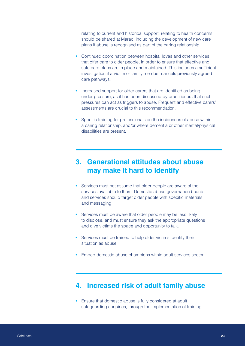<span id="page-22-0"></span>relating to current and historical support, relating to health concerns should be shared at Marac, including the development of new care plans if abuse is recognised as part of the caring relationship.

- **•** Continued coordination between hospital Idvas and other services that offer care to older people, in order to ensure that effective and safe care plans are in place and maintained. This includes a sufficient investigation if a victim or family member cancels previously agreed care pathways.
- **•** Increased support for older carers that are identified as being under pressure, as it has been discussed by practitioners that such pressures can act as triggers to abuse. Frequent and effective carers' assessments are crucial to this recommendation.
- **•** Specific training for professionals on the incidences of abuse within a caring relationship, and/or where dementia or other mental/physical disabilities are present.

### **3. Generational attitudes about abuse may make it hard to identify**

- **•** Services must not assume that older people are aware of the services available to them. Domestic abuse governance boards and services should target older people with specific materials and messaging.
- **•** Services must be aware that older people may be less likely to disclose, and must ensure they ask the appropriate questions and give victims the space and opportunity to talk.
- **•** Services must be trained to help older victims identify their situation as abuse.
- **•** Embed domestic abuse champions within adult services sector.

#### **4. Increased risk of adult family abuse**

**•** Ensure that domestic abuse is fully considered at adult safeguarding enquiries, through the implementation of training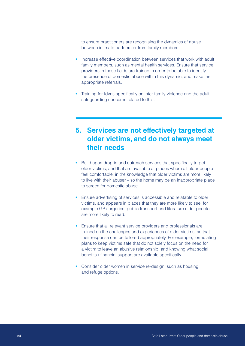<span id="page-23-0"></span>to ensure practitioners are recognising the dynamics of abuse between intimate partners or from family members.

- **•** Increase effective coordination between services that work with adult family members, such as mental health services. Ensure that service providers in these fields are trained in order to be able to identify the presence of domestic abuse within this dynamic, and make the appropriate referrals.
- **•** Training for Idvas specifically on inter-family violence and the adult safeguarding concerns related to this.

### **5. Services are not effectively targeted at older victims, and do not always meet their needs**

- **•** Build upon drop-in and outreach services that specifically target older victims, and that are available at places where all older people feel comfortable, in the knowledge that older victims are more likely to live with their abuser – so the home may be an inappropriate place to screen for domestic abuse.
- **•** Ensure advertising of services is accessible and relatable to older victims, and appears in places that they are more likely to see, for example GP surgeries, public transport and literature older people are more likely to read.
- **•** Ensure that all relevant service providers and professionals are trained on the challenges and experiences of older victims, so that their response can be tailored appropriately. For example, formulating plans to keep victims safe that do not solely focus on the need for a victim to leave an abusive relationship, and knowing what social benefits / financial support are available specifically.
- **•** Consider older women in service re-design, such as housing and refuge options.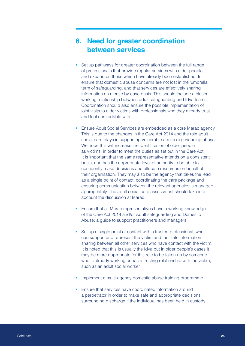### <span id="page-24-0"></span>**6. Need for greater coordination between services**

- **•** Set up pathways for greater coordination between the full range of professionals that provide regular services with older people, and expand on those which have already been established, to ensure that domestic abuse concerns are not lost in the 'umbrella' term of safeguarding, and that services are effectively sharing information on a case by case basis. This should include a closer working relationship between adult safeguarding and Idva teams. Coordination should also ensure the possible implementation of joint visits to older victims with professionals who they already trust and feel comfortable with
- **•** Ensure Adult Social Services are embedded as a core Marac agency. This is due to the changes in the Care Act 2014 and the role adult social care plays in supporting vulnerable adults experiencing abuse. We hope this will increase the identification of older people as victims, in order to meet the duties as set out in the Care Act. It is important that the same representative attends on a consistent basis, and has the appropriate level of authority to be able to confidently make decisions and allocate resources on behalf of their organisation. They may also be the agency that takes the lead as a single point of contact, coordinating the care package and ensuring communication between the relevant agencies is managed appropriately. The adult social care assessment should take into account the discussion at Marac.
- **•** Ensure that all Marac representatives have a working knowledge of the Care Act 2014 and/or Adult safeguarding and Domestic Abuse: a guide to support practitioners and managers.
- Set up a single point of contact with a trusted professional, who can support and represent the victim and facilitate information sharing between all other services who have contact with the victim. It is noted that this is usually the Idva but in older people's cases it may be more appropriate for this role to be taken up by someone who is already working or has a trusting relationship with the victim, such as an adult social worker.
- **•** Implement a multi-agency domestic abuse training programme.
- **•** Ensure that services have coordinated information around a perpetrator in order to make safe and appropriate decisions surrounding discharge if the individual has been held in custody.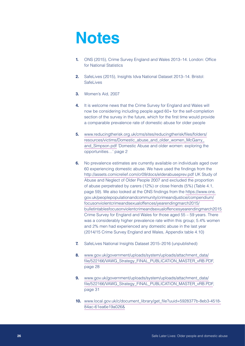# <span id="page-25-0"></span>**Notes**

- <span id="page-25-1"></span>**1.** ONS (2015), Crime Survey England and Wales 2013–14. London: Office for National Statistics
- **2.** SafeLives (2015), Insights Idva National Dataset 2013–14. Bristol: SafeLives
- **3.** Women's Aid, 2007
- **4.** It is welcome news that the Crime Survey for England and Wales will now be considering including people aged 60+ for the self-completion section of the survey in the future, which for the first time would provide a comparable prevalence rate of domestic abuse for older people
- <span id="page-25-2"></span>**5.** [www.reducingtherisk.org.uk/cms/sites/reducingtherisk/files/folders/](http://www.reducingtherisk.org.uk/cms/sites/reducingtherisk/files/folders/resources/victims/Domestic_abuse_and_older_women_McGarry_and_Simpson.pdf) [resources/victims/Domestic\\_abuse\\_and\\_older\\_women\\_McGarry\\_](http://www.reducingtherisk.org.uk/cms/sites/reducingtherisk/files/folders/resources/victims/Domestic_abuse_and_older_women_McGarry_and_Simpson.pdf) [and\\_Simpson.pdf](http://www.reducingtherisk.org.uk/cms/sites/reducingtherisk/files/folders/resources/victims/Domestic_abuse_and_older_women_McGarry_and_Simpson.pdf) 'Domestic Abuse and older women: exploring the opportunities…' page 2
- **6.** No prevalence estimates are currently available on individuals aged over 60 experiencing domestic abuse. We have used the findings from the <http://assets.comicrelief.com/cr09/docs/elderabuseprev.pdf> UK Study of Abuse and Neglect of Older People 2007 and excluded the proportion of abuse perpetrated by carers (12%) or close friends (5%) (Table 4.1, page 59). We also looked at the ONS findings from the [https://www.ons.](https://www.ons.gov.uk/peoplepopulationandcommunity/crimeandjustice/compendium/focusonviolentcrimeandsexualoffences/yearendingmarch2015/bulletintablesfocusonviolentcrimeandsexualoffencesyearendingmarch2015) [gov.uk/peoplepopulationandcommunity/crimeandjustice/compendium/](https://www.ons.gov.uk/peoplepopulationandcommunity/crimeandjustice/compendium/focusonviolentcrimeandsexualoffences/yearendingmarch2015/bulletintablesfocusonviolentcrimeandsexualoffencesyearendingmarch2015) [focusonviolentcrimeandsexualoffences/yearendingmarch2015/](https://www.ons.gov.uk/peoplepopulationandcommunity/crimeandjustice/compendium/focusonviolentcrimeandsexualoffences/yearendingmarch2015/bulletintablesfocusonviolentcrimeandsexualoffencesyearendingmarch2015) [bulletintablesfocusonviolentcrimeandsexualoffencesyearendingmarch2015](https://www.ons.gov.uk/peoplepopulationandcommunity/crimeandjustice/compendium/focusonviolentcrimeandsexualoffences/yearendingmarch2015/bulletintablesfocusonviolentcrimeandsexualoffencesyearendingmarch2015)  Crime Survey for England and Wales for those aged 55 – 59 years. There was a considerably higher prevalence rate within this group; 5.4% women and 2% men had experienced any domestic abuse in the last year (2014/15 Crime Survey England and Wales, Appendix table 4.10)
- **7.** SafeLives National Insights Dataset 2015–2016 (unpublished)
- **8.** [www.gov.uk/government/uploads/system/uploads/attachment\\_data/](http://www.gov.uk/government/uploads/system/uploads/attachment_data/file/522166/VAWG_Strategy_FINAL_PUBLICATION_MASTER_vRB.PDF) [file/522166/VAWG\\_Strategy\\_FINAL\\_PUBLICATION\\_MASTER\\_vRB.PDF,](http://www.gov.uk/government/uploads/system/uploads/attachment_data/file/522166/VAWG_Strategy_FINAL_PUBLICATION_MASTER_vRB.PDF) page 28
- **9.** [www.gov.uk/government/uploads/system/uploads/attachment\\_data/](http://www.gov.uk/government/uploads/system/uploads/attachment_data/file/522166/VAWG_Strategy_FINAL_PUBLICATION_MASTER_vRB.PDF) [file/522166/VAWG\\_Strategy\\_FINAL\\_PUBLICATION\\_MASTER\\_vRB.PDF,](http://www.gov.uk/government/uploads/system/uploads/attachment_data/file/522166/VAWG_Strategy_FINAL_PUBLICATION_MASTER_vRB.PDF) page 31
- **10.** [www.local.gov.uk/c/document\\_library/get\\_file?uuid=5928377b-8eb3-4518-](http://www.local.gov.uk/c/document_library/get_file?uuid=5928377b-8eb3-4518-84ac-61ea6e19a026&) [84ac-61ea6e19a026&](http://www.local.gov.uk/c/document_library/get_file?uuid=5928377b-8eb3-4518-84ac-61ea6e19a026&)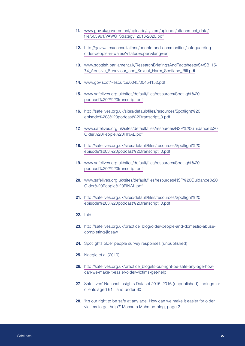- **11.** [www.gov.uk/government/uploads/system/uploads/attachment\\_data/](http://www.gov.uk/government/uploads/system/uploads/attachment_data/file/505961/VAWG_Strategy_2016-2020.pdf) [file/505961/VAWG\\_Strategy\\_2016-2020.pdf](http://www.gov.uk/government/uploads/system/uploads/attachment_data/file/505961/VAWG_Strategy_2016-2020.pdf)
- <span id="page-26-0"></span>**12.** [http://gov.wales/consultations/people-and-communities/safeguarding](http://gov.wales/consultations/people-and-communities/safeguarding-older-people-in-wales/?status=open&lang=en)[older-people-in-wales/?status=open&lang=en](http://gov.wales/consultations/people-and-communities/safeguarding-older-people-in-wales/?status=open&lang=en)
- <span id="page-26-1"></span>**13.** [www.scottish.parliament.uk/ResearchBriefingsAndFactsheets/S4/SB\\_15-](http://www.scottish.parliament.uk/ResearchBriefingsAndFactsheets/S4/SB_15-74_Abusive_Behaviour_and_Sexual_Harm_Scotland_Bill.pdf) 74 Abusive Behaviour and Sexual Harm Scotland Bill.pdf
- <span id="page-26-2"></span>**14.** [www.gov.scot/Resource/0045/00454152.pdf](http://www.gov.scot/Resource/0045/00454152.pdf)
- <span id="page-26-3"></span>**15.** [www.safelives.org.uk/sites/default/files/resources/Spotlight%20](http://www.safelives.org.uk/sites/default/files/resources/Spotlight%20podcast%202%20transcript.pdf) [podcast%202%20transcript.pdf](http://www.safelives.org.uk/sites/default/files/resources/Spotlight%20podcast%202%20transcript.pdf)
- **16.** [http://safelives.org.uk/sites/default/files/resources/Spotlight%20](http://safelives.org.uk/sites/default/files/resources/Spotlight%20episode%203%20podcast%20transcript_0.pdf) [episode%203%20podcast%20transcript\\_0.pdf](http://safelives.org.uk/sites/default/files/resources/Spotlight%20episode%203%20podcast%20transcript_0.pdf)
- **17.** [www.safelives.org.uk/sites/default/files/resources/NSP%20Guidance%20](http://www.safelives.org.uk/sites/default/files/resources/NSP%20Guidance%20Older%20People%20FINAL.pdf) [Older%20People%20FINAL.pdf](http://www.safelives.org.uk/sites/default/files/resources/NSP%20Guidance%20Older%20People%20FINAL.pdf)
- **18.** [http://safelives.org.uk/sites/default/files/resources/Spotlight%20](http://safelives.org.uk/sites/default/files/resources/Spotlight%20episode%203%20podcast%20transcript_0.pdf) [episode%203%20podcast%20transcript\\_0.pdf](http://safelives.org.uk/sites/default/files/resources/Spotlight%20episode%203%20podcast%20transcript_0.pdf)
- <span id="page-26-4"></span>**19.** [www.safelives.org.uk/sites/default/files/resources/Spotlight%20](http://www.safelives.org.uk/sites/default/files/resources/Spotlight%20podcast%202%20transcript.pdf) [podcast%202%20transcript.pdf](http://www.safelives.org.uk/sites/default/files/resources/Spotlight%20podcast%202%20transcript.pdf)
- **20.** [www.safelives.org.uk/sites/default/files/resources/NSP%20Guidance%20](http://www.safelives.org.uk/sites/default/files/resources/NSP%20Guidance%20Older%20People%20FINAL.pdf) [Older%20People%20FINAL.pdf](http://www.safelives.org.uk/sites/default/files/resources/NSP%20Guidance%20Older%20People%20FINAL.pdf)
- <span id="page-26-5"></span>**21.** [http://safelives.org.uk/sites/default/files/resources/Spotlight%20](http://safelives.org.uk/sites/default/files/resources/Spotlight%20episode%203%20podcast%20transcript_0.pdf) [episode%203%20podcast%20transcript\\_0.pdf](http://safelives.org.uk/sites/default/files/resources/Spotlight%20episode%203%20podcast%20transcript_0.pdf)
- <span id="page-26-6"></span>**22.** Ibid.
- <span id="page-26-7"></span>**23.** [http://safelives.org.uk/practice\\_blog/older-people-and-domestic-abuse](http://safelives.org.uk/practice_blog/older-people-and-domestic-abuse-completing-jigsaw)[completing-jigsaw](http://safelives.org.uk/practice_blog/older-people-and-domestic-abuse-completing-jigsaw)
- <span id="page-26-8"></span>**24.** Spotlights older people survey responses (unpublished)
- <span id="page-26-9"></span>**25.** Naegle et al (2010)
- <span id="page-26-10"></span>**26.** [http://safelives.org.uk/practice\\_blog/its-our-right-be-safe-any-age-how](http://safelives.org.uk/practice_blog/its-our-right-be-safe-any-age-how-can-we-make-it-easier-older-victims-get-help)[can-we-make-it-easier-older-victims-get-help](http://safelives.org.uk/practice_blog/its-our-right-be-safe-any-age-how-can-we-make-it-easier-older-victims-get-help)
- <span id="page-26-11"></span>**27.** SafeLives' National Insights Dataset 2015–2016 (unpublished) findings for clients aged 61+ and under 60
- **28.** 'It's our right to be safe at any age. How can we make it easier for older victims to get help?' Monsura Mahmud blog, page 2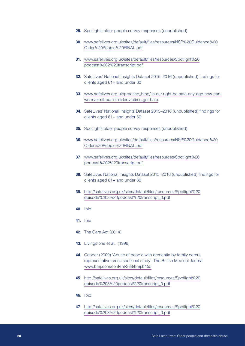- <span id="page-27-0"></span>**29.** Spotlights older people survey responses (unpublished)
- **30.** [www.safelives.org.uk/sites/default/files/resources/NSP%20Guidance%20](http://www.safelives.org.uk/sites/default/files/resources/NSP%20Guidance%20Older%20People%20FINAL.pdf) [Older%20People%20FINAL.pdf](http://www.safelives.org.uk/sites/default/files/resources/NSP%20Guidance%20Older%20People%20FINAL.pdf)
- <span id="page-27-1"></span>**31.** [www.safelives.org.uk/sites/default/files/resources/Spotlight%20](http://www.safelives.org.uk/sites/default/files/resources/Spotlight%20podcast%202%20transcript.pdf) [podcast%202%20transcript.pdf](http://www.safelives.org.uk/sites/default/files/resources/Spotlight%20podcast%202%20transcript.pdf)
- <span id="page-27-2"></span>**32.** SafeLives' National Insights Dataset 2015–2016 (unpublished) findings for clients aged 61+ and under 60
- <span id="page-27-3"></span>**33.** [www.safelives.org.uk/practice\\_blog/its-our-right-be-safe-any-age-how-can](http://www.safelives.org.uk/practice_blog/its-our-right-be-safe-any-age-how-can-we-make-it-easier-older-victims-get-help)[we-make-it-easier-older-victims-get-help](http://www.safelives.org.uk/practice_blog/its-our-right-be-safe-any-age-how-can-we-make-it-easier-older-victims-get-help)
- <span id="page-27-4"></span>**34.** SafeLives' National Insights Dataset 2015–2016 (unpublished) findings for clients aged 61+ and under 60
- <span id="page-27-5"></span>**35.** Spotlights older people survey responses (unpublished)
- <span id="page-27-6"></span>**36.** [www.safelives.org.uk/sites/default/files/resources/NSP%20Guidance%20](http://www.safelives.org.uk/sites/default/files/resources/NSP%20Guidance%20Older%20People%20FINAL.pdf) [Older%20People%20FINAL.pdf](http://www.safelives.org.uk/sites/default/files/resources/NSP%20Guidance%20Older%20People%20FINAL.pdf)
- <span id="page-27-7"></span>**37.** [www.safelives.org.uk/sites/default/files/resources/Spotlight%20](http://www.safelives.org.uk/sites/default/files/resources/Spotlight%20podcast%202%20transcript.pdf) [podcast%202%20transcript.pdf](http://www.safelives.org.uk/sites/default/files/resources/Spotlight%20podcast%202%20transcript.pdf)
- <span id="page-27-8"></span>**38.** SafeLives National Insights Dataset 2015–2016 (unpublished) findings for clients aged 61+ and under 60
- <span id="page-27-9"></span>**39.** [http://safelives.org.uk/sites/default/files/resources/Spotlight%20](http://safelives.org.uk/sites/default/files/resources/Spotlight%20episode%203%20podcast%20transcript_0.pdf) [episode%203%20podcast%20transcript\\_0.pdf](http://safelives.org.uk/sites/default/files/resources/Spotlight%20episode%203%20podcast%20transcript_0.pdf)
- **40.** Ibid.
- **41.** Ibid.
- <span id="page-27-10"></span>**42.** The Care Act (2014)
- <span id="page-27-11"></span>**43.** Livingstone et al., (1996)
- <span id="page-27-12"></span>**44.** Cooper (2009) 'Abuse of people with dementia by family carers: representative cross sectional study'. The British Medical Journal [www.bmj.com/content/338/bmj.b155](http://www.bmj.com/content/338/bmj.b155)
- <span id="page-27-13"></span>**45.** [http://safelives.org.uk/sites/default/files/resources/Spotlight%20](http://safelives.org.uk/sites/default/files/resources/Spotlight%20episode%203%20podcast%20transcript_0.pdf) [episode%203%20podcast%20transcript\\_0.pdf](http://safelives.org.uk/sites/default/files/resources/Spotlight%20episode%203%20podcast%20transcript_0.pdf)
- <span id="page-27-14"></span>**46.** Ibid.
- <span id="page-27-15"></span>**47.** [http://safelives.org.uk/sites/default/files/resources/Spotlight%20](http://safelives.org.uk/sites/default/files/resources/Spotlight%20episode%203%20podcast%20transcript_0.pdf) [episode%203%20podcast%20transcript\\_0.pdf](http://safelives.org.uk/sites/default/files/resources/Spotlight%20episode%203%20podcast%20transcript_0.pdf)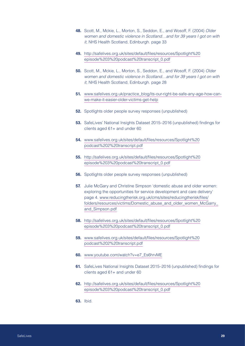- <span id="page-28-0"></span>**48.** Scott, M., Mckie, L., Morton, S., Seddon, E., and Wosoff, F. (2004) *Older women and domestic violence in Scotland…and for 39 years I got on with it,* NHS Health Scotland, Edinburgh. page 33
- <span id="page-28-1"></span>**49.** [http://safelives.org.uk/sites/default/files/resources/Spotlight%20](http://safelives.org.uk/sites/default/files/resources/Spotlight%20episode%203%20podcast%20transcript_0.pdf) [episode%203%20podcast%20transcript\\_0.pdf](http://safelives.org.uk/sites/default/files/resources/Spotlight%20episode%203%20podcast%20transcript_0.pdf)
- **50.** Scott, M., Mckie, L., Morton, S., Seddon, E., and Wosoff, F. (2004) *Older women and domestic violence in Scotland…and for 39 years I got on with it,* NHS Health Scotland, Edinburgh. page 28
- <span id="page-28-2"></span>**51.** [www.safelives.org.uk/practice\\_blog/its-our-right-be-safe-any-age-how-can](http://www.safelives.org.uk/practice_blog/its-our-right-be-safe-any-age-how-can-we-make-it-easier-older-victims-get-help)[we-make-it-easier-older-victims-get-help](http://www.safelives.org.uk/practice_blog/its-our-right-be-safe-any-age-how-can-we-make-it-easier-older-victims-get-help)
- <span id="page-28-3"></span>**52.** Spotlights older people survey responses (unpublished)
- <span id="page-28-4"></span>**53.** SafeLives' National Insights Dataset 2015–2016 (unpublished) findings for clients aged 61+ and under 60
- **54.** [www.safelives.org.uk/sites/default/files/resources/Spotlight%20](http://www.safelives.org.uk/sites/default/files/resources/Spotlight%20podcast%202%20transcript.pdf) [podcast%202%20transcript.pdf](http://www.safelives.org.uk/sites/default/files/resources/Spotlight%20podcast%202%20transcript.pdf)
- <span id="page-28-5"></span>**55.** [http://safelives.org.uk/sites/default/files/resources/Spotlight%20](http://safelives.org.uk/sites/default/files/resources/Spotlight%20episode%203%20podcast%20transcript_0.pdf) [episode%203%20podcast%20transcript\\_0.pdf](http://safelives.org.uk/sites/default/files/resources/Spotlight%20episode%203%20podcast%20transcript_0.pdf)
- <span id="page-28-6"></span>**56.** Spotlights older people survey responses (unpublished)
- <span id="page-28-7"></span>**57.** Julie McGary and Christine Simpson 'domestic abuse and older women: exploring the opportunities for service development and care delivery' page 4. [www.reducingtherisk.org.uk/cms/sites/reducingtherisk/files/](http://www.reducingtherisk.org.uk/cms/sites/reducingtherisk/files/folders/resources/victims/Domestic_abuse_and_older_women_McGarry_and_Simpson.pdf) [folders/resources/victims/Domestic\\_abuse\\_and\\_older\\_women\\_McGarry\\_](http://www.reducingtherisk.org.uk/cms/sites/reducingtherisk/files/folders/resources/victims/Domestic_abuse_and_older_women_McGarry_and_Simpson.pdf) [and\\_Simpson.pdf](http://www.reducingtherisk.org.uk/cms/sites/reducingtherisk/files/folders/resources/victims/Domestic_abuse_and_older_women_McGarry_and_Simpson.pdf)
- <span id="page-28-8"></span>**58.** [http://safelives.org.uk/sites/default/files/resources/Spotlight%20](http://safelives.org.uk/sites/default/files/resources/Spotlight%20episode%203%20podcast%20transcript_0.pdf) [episode%203%20podcast%20transcript\\_0.pdf](http://safelives.org.uk/sites/default/files/resources/Spotlight%20episode%203%20podcast%20transcript_0.pdf)
- <span id="page-28-9"></span>**59.** [www.safelives.org.uk/sites/default/files/resources/Spotlight%20](http://www.safelives.org.uk/sites/default/files/resources/Spotlight%20podcast%202%20transcript.pdf) [podcast%202%20transcript.pdf](http://www.safelives.org.uk/sites/default/files/resources/Spotlight%20podcast%202%20transcript.pdf)
- **60.** [www.youtube.com/watch?v=e7\\_Es6hrvME](http://www.youtube.com/watch?v=e7_Es6hrvME)
- <span id="page-28-10"></span>**61.** SafeLives National Insights Dataset 2015–2016 (unpublished) findings for clients aged 61+ and under 60
- <span id="page-28-11"></span>**62.** [http://safelives.org.uk/sites/default/files/resources/Spotlight%20](http://safelives.org.uk/sites/default/files/resources/Spotlight%20episode%203%20podcast%20transcript_0.pdf) [episode%203%20podcast%20transcript\\_0.pdf](http://safelives.org.uk/sites/default/files/resources/Spotlight%20episode%203%20podcast%20transcript_0.pdf)
- <span id="page-28-12"></span>**63.** Ibid.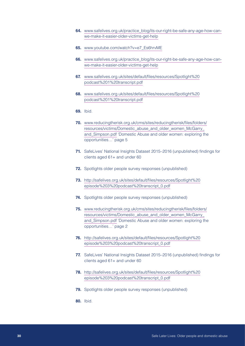- <span id="page-29-0"></span>**64.** [www.safelives.org.uk/practice\\_blog/its-our-right-be-safe-any-age-how-can](http://www.safelives.org.uk/practice_blog/its-our-right-be-safe-any-age-how-can-we-make-it-easier-older-victims-get-help)[we-make-it-easier-older-victims-get-help](http://www.safelives.org.uk/practice_blog/its-our-right-be-safe-any-age-how-can-we-make-it-easier-older-victims-get-help)
- <span id="page-29-1"></span>**65.** [www.youtube.com/watch?v=e7\\_Es6hrvME](http://www.youtube.com/watch?v=e7_Es6hrvME)
- <span id="page-29-2"></span>**66.** [www.safelives.org.uk/practice\\_blog/its-our-right-be-safe-any-age-how-can](http://www.safelives.org.uk/practice_blog/its-our-right-be-safe-any-age-how-can-we-make-it-easier-older-victims-get-help)[we-make-it-easier-older-victims-get-help](http://www.safelives.org.uk/practice_blog/its-our-right-be-safe-any-age-how-can-we-make-it-easier-older-victims-get-help)
- <span id="page-29-3"></span>**67.** [www.safelives.org.uk/sites/default/files/resources/Spotlight%20](http://www.safelives.org.uk/sites/default/files/resources/Spotlight%20podcast%201%20transcript.pdf) [podcast%201%20transcript.pdf](http://www.safelives.org.uk/sites/default/files/resources/Spotlight%20podcast%201%20transcript.pdf)
- <span id="page-29-4"></span>**68.** [www.safelives.org.uk/sites/default/files/resources/Spotlight%20](http://www.safelives.org.uk/sites/default/files/resources/Spotlight%20podcast%201%20transcript.pdf) [podcast%201%20transcript.pdf](http://www.safelives.org.uk/sites/default/files/resources/Spotlight%20podcast%201%20transcript.pdf)
- <span id="page-29-5"></span>**69.** Ibid.
- **70.** [www.reducingtherisk.org.uk/cms/sites/reducingtherisk/files/folders/](http://www.reducingtherisk.org.uk/cms/sites/reducingtherisk/files/folders/resources/victims/Domestic_abuse_and_older_women_McGarry_and_Simpson.pdf) [resources/victims/Domestic\\_abuse\\_and\\_older\\_women\\_McGarry\\_](http://www.reducingtherisk.org.uk/cms/sites/reducingtherisk/files/folders/resources/victims/Domestic_abuse_and_older_women_McGarry_and_Simpson.pdf) and Simpson.pdf 'Domestic Abuse and older women: exploring the opportunities…' page 5
- <span id="page-29-6"></span>**71.** SafeLives' National Insights Dataset 2015–2016 (unpublished) findings for clients aged 61+ and under 60
- <span id="page-29-7"></span>**72.** Spotlights older people survey responses (unpublished)
- <span id="page-29-8"></span>**73.** [http://safelives.org.uk/sites/default/files/resources/Spotlight%20](http://safelives.org.uk/sites/default/files/resources/Spotlight%20episode%203%20podcast%20transcript_0.pdf) [episode%203%20podcast%20transcript\\_0.pdf](http://safelives.org.uk/sites/default/files/resources/Spotlight%20episode%203%20podcast%20transcript_0.pdf)
- <span id="page-29-9"></span>**74.** Spotlights older people survey responses (unpublished)
- <span id="page-29-10"></span>**75.** [www.reducingtherisk.org.uk/cms/sites/reducingtherisk/files/folders/](http://www.reducingtherisk.org.uk/cms/sites/reducingtherisk/files/folders/resources/victims/Domestic_abuse_and_older_women_McGarry_and_Simpson.pdf) [resources/victims/Domestic\\_abuse\\_and\\_older\\_women\\_McGarry\\_](http://www.reducingtherisk.org.uk/cms/sites/reducingtherisk/files/folders/resources/victims/Domestic_abuse_and_older_women_McGarry_and_Simpson.pdf) [and\\_Simpson.pdf](http://www.reducingtherisk.org.uk/cms/sites/reducingtherisk/files/folders/resources/victims/Domestic_abuse_and_older_women_McGarry_and_Simpson.pdf) 'Domestic Abuse and older women: exploring the opportunities…' page 2
- <span id="page-29-11"></span>**76.** [http://safelives.org.uk/sites/default/files/resources/Spotlight%20](http://safelives.org.uk/sites/default/files/resources/Spotlight%20episode%203%20podcast%20transcript_0.pdf) [episode%203%20podcast%20transcript\\_0.pdf](http://safelives.org.uk/sites/default/files/resources/Spotlight%20episode%203%20podcast%20transcript_0.pdf)
- <span id="page-29-12"></span>**77.** SafeLives' National Insights Dataset 2015–2016 (unpublished) findings for clients aged 61+ and under 60
- <span id="page-29-13"></span>**78.** [http://safelives.org.uk/sites/default/files/resources/Spotlight%20](http://safelives.org.uk/sites/default/files/resources/Spotlight%20episode%203%20podcast%20transcript_0.pdf) [episode%203%20podcast%20transcript\\_0.pdf](http://safelives.org.uk/sites/default/files/resources/Spotlight%20episode%203%20podcast%20transcript_0.pdf)
- <span id="page-29-14"></span>**79.** Spotlights older people survey responses (unpublished)
- **80.** Ibid.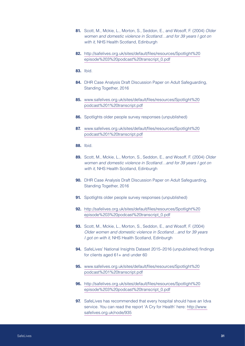- <span id="page-30-0"></span>**81.** Scott, M., Mckie, L., Morton, S., Seddon, E., and Wosoff, F. (2004) *Older women and domestic violence in Scotland…and for 39 years I got on with it,* NHS Health Scotland, Edinburgh
- **82.** [http://safelives.org.uk/sites/default/files/resources/Spotlight%20](http://safelives.org.uk/sites/default/files/resources/Spotlight%20episode%203%20podcast%20transcript_0.pdf) [episode%203%20podcast%20transcript\\_0.pdf](http://safelives.org.uk/sites/default/files/resources/Spotlight%20episode%203%20podcast%20transcript_0.pdf)
- **83.** Ibid.
- <span id="page-30-1"></span>**84.** DHR Case Analysis Draft Discussion Paper on Adult Safeguarding, Standing Together, 2016
- <span id="page-30-2"></span>**85.** [www.safelives.org.uk/sites/default/files/resources/Spotlight%20](http://www.safelives.org.uk/sites/default/files/resources/Spotlight%20podcast%201%20transcript.pdf) [podcast%201%20transcript.pdf](http://www.safelives.org.uk/sites/default/files/resources/Spotlight%20podcast%201%20transcript.pdf)
- <span id="page-30-3"></span>**86.** Spotlights older people survey responses (unpublished)
- <span id="page-30-4"></span>**87.** [www.safelives.org.uk/sites/default/files/resources/Spotlight%20](http://www.safelives.org.uk/sites/default/files/resources/Spotlight%20podcast%201%20transcript.pdf) [podcast%201%20transcript.pdf](http://www.safelives.org.uk/sites/default/files/resources/Spotlight%20podcast%201%20transcript.pdf)
- <span id="page-30-5"></span>**88.** Ibid.
- <span id="page-30-6"></span>**89.** Scott, M., Mckie, L., Morton, S., Seddon, E., and Wosoff, F. (2004) *Older women and domestic violence in Scotland…and for 39 years I got on with it,* NHS Health Scotland, Edinburgh
- **90.** DHR Case Analysis Draft Discussion Paper on Adult Safeguarding, Standing Together, 2016
- <span id="page-30-7"></span>**91.** Spotlights older people survey responses (unpublished)
- <span id="page-30-8"></span>**92.** [http://safelives.org.uk/sites/default/files/resources/Spotlight%20](http://safelives.org.uk/sites/default/files/resources/Spotlight%20episode%203%20podcast%20transcript_0.pdf) [episode%203%20podcast%20transcript\\_0.pdf](http://safelives.org.uk/sites/default/files/resources/Spotlight%20episode%203%20podcast%20transcript_0.pdf)
- <span id="page-30-9"></span>**93.** Scott, M., Mckie, L., Morton, S., Seddon, E., and Wosoff, F. (2004) *Older women and domestic violence in Scotland…and for 39 years I got on with it,* NHS Health Scotland, Edinburgh
- <span id="page-30-10"></span>**94.** SafeLives' National Insights Dataset 2015–2016 (unpublished) findings for clients aged 61+ and under 60
- <span id="page-30-11"></span>**95.** [www.safelives.org.uk/sites/default/files/resources/Spotlight%20](http://www.safelives.org.uk/sites/default/files/resources/Spotlight%20podcast%201%20transcript.pdf) [podcast%201%20transcript.pdf](http://www.safelives.org.uk/sites/default/files/resources/Spotlight%20podcast%201%20transcript.pdf)
- <span id="page-30-12"></span>**96.** [http://safelives.org.uk/sites/default/files/resources/Spotlight%20](http://safelives.org.uk/sites/default/files/resources/Spotlight%20episode%203%20podcast%20transcript_0.pdf) [episode%203%20podcast%20transcript\\_0.pdf](http://safelives.org.uk/sites/default/files/resources/Spotlight%20episode%203%20podcast%20transcript_0.pdf)
- **97.** SafeLives has recommended that every hospital should have an Idva service. You can read the report 'A Cry for Health' here: [http://www.](http://www.safelives.org.uk/node/935) [safelives.org.uk/node/935](http://www.safelives.org.uk/node/935)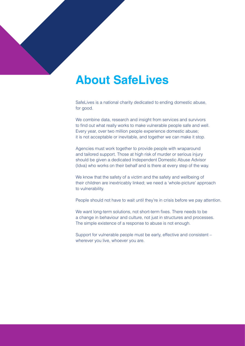# **About SafeLives**

SafeLives is a national charity dedicated to ending domestic abuse, for good.

We combine data, research and insight from services and survivors to find out what really works to make vulnerable people safe and well. Every year, over two million people experience domestic abuse; it is not acceptable or inevitable, and together we can make it stop.

Agencies must work together to provide people with wraparound and tailored support. Those at high risk of murder or serious injury should be given a dedicated Independent Domestic Abuse Advisor (Idva) who works on their behalf and is there at every step of the way.

We know that the safety of a victim and the safety and wellbeing of their children are inextricably linked; we need a 'whole-picture' approach to vulnerability.

People should not have to wait until they're in crisis before we pay attention.

We want long-term solutions, not short-term fixes. There needs to be a change in behaviour and culture, not just in structures and processes. The simple existence of a response to abuse is not enough.

Support for vulnerable people must be early, effective and consistent – wherever you live, whoever you are.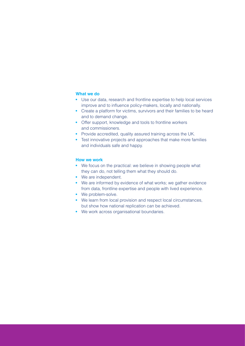#### **What we do**

- **•** Use our data, research and frontline expertise to help local services improve and to influence policy-makers, locally and nationally.
- **•** Create a platform for victims, survivors and their families to be heard and to demand change.
- **•** Offer support, knowledge and tools to frontline workers and commissioners.
- **•** Provide accredited, quality assured training across the UK.
- **•** Test innovative projects and approaches that make more families and individuals safe and happy.

#### **How we work**

- **•** We focus on the practical: we believe in showing people what they can do, not telling them what they should do.
- **•** We are independent.
- **•** We are informed by evidence of what works; we gather evidence from data, frontline expertise and people with lived experience.
- **•** We problem-solve.
- **•** We learn from local provision and respect local circumstances, but show how national replication can be achieved.
- **•** We work across organisational boundaries.